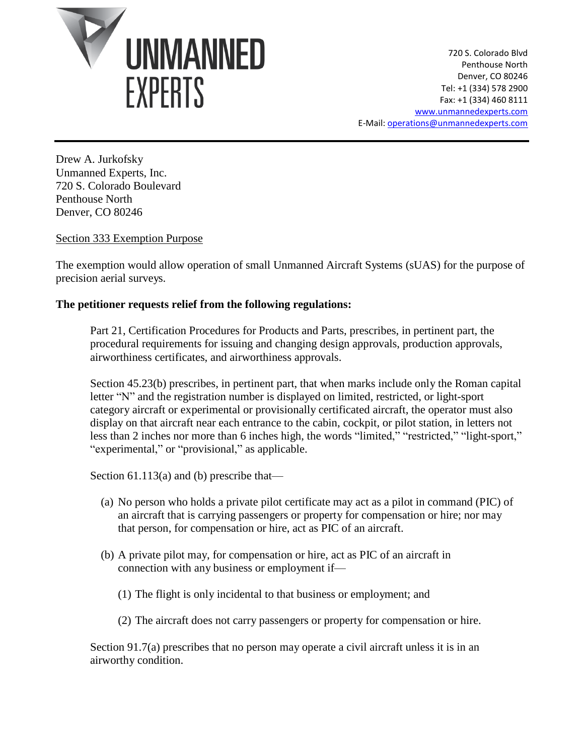

720 S. Colorado Blvd Penthouse North Denver, CO 80246 Tel: +1 (334) 578 2900 Fax: +1 (334) 460 8111 [www.unmannedexperts.com](http://www.unmannedexperts.com/) E-Mail[: operations@unmannedexperts.com](mailto:operations@unmannedexperts.com)

Drew A. Jurkofsky Unmanned Experts, Inc. 720 S. Colorado Boulevard Penthouse North Denver, CO 80246

# Section 333 Exemption Purpose

The exemption would allow operation of small Unmanned Aircraft Systems (sUAS) for the purpose of precision aerial surveys.

#### **The petitioner requests relief from the following regulations:**

Part 21, Certification Procedures for Products and Parts, prescribes, in pertinent part, the procedural requirements for issuing and changing design approvals, production approvals, airworthiness certificates, and airworthiness approvals.

Section 45.23(b) prescribes, in pertinent part, that when marks include only the Roman capital letter "N" and the registration number is displayed on limited, restricted, or light-sport category aircraft or experimental or provisionally certificated aircraft, the operator must also display on that aircraft near each entrance to the cabin, cockpit, or pilot station, in letters not less than 2 inches nor more than 6 inches high, the words "limited," "restricted," "light-sport," "experimental," or "provisional," as applicable.

Section 61.113(a) and (b) prescribe that—

- (a) No person who holds a private pilot certificate may act as a pilot in command (PIC) of an aircraft that is carrying passengers or property for compensation or hire; nor may that person, for compensation or hire, act as PIC of an aircraft.
- (b) A private pilot may, for compensation or hire, act as PIC of an aircraft in connection with any business or employment if—
	- (1) The flight is only incidental to that business or employment; and
	- (2) The aircraft does not carry passengers or property for compensation or hire.

Section 91.7(a) prescribes that no person may operate a civil aircraft unless it is in an airworthy condition.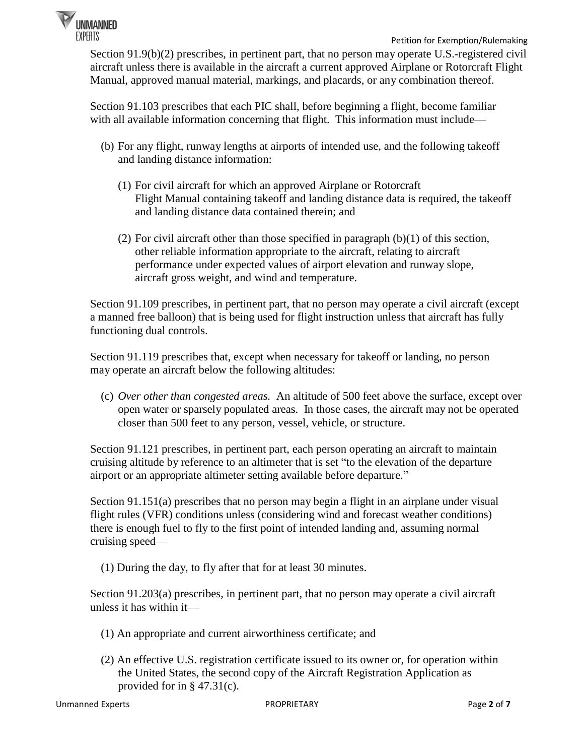

Section 91.9(b)(2) prescribes, in pertinent part, that no person may operate U.S.-registered civil aircraft unless there is available in the aircraft a current approved Airplane or Rotorcraft Flight Manual, approved manual material, markings, and placards, or any combination thereof.

Section 91.103 prescribes that each PIC shall, before beginning a flight, become familiar with all available information concerning that flight. This information must include—

- (b) For any flight, runway lengths at airports of intended use, and the following takeoff and landing distance information:
	- (1) For civil aircraft for which an approved Airplane or Rotorcraft Flight Manual containing takeoff and landing distance data is required, the takeoff and landing distance data contained therein; and
	- (2) For civil aircraft other than those specified in paragraph (b)(1) of this section, other reliable information appropriate to the aircraft, relating to aircraft performance under expected values of airport elevation and runway slope, aircraft gross weight, and wind and temperature.

Section 91.109 prescribes, in pertinent part, that no person may operate a civil aircraft (except a manned free balloon) that is being used for flight instruction unless that aircraft has fully functioning dual controls.

Section 91.119 prescribes that, except when necessary for takeoff or landing, no person may operate an aircraft below the following altitudes:

(c) *Over other than congested areas.* An altitude of 500 feet above the surface, except over open water or sparsely populated areas. In those cases, the aircraft may not be operated closer than 500 feet to any person, vessel, vehicle, or structure.

Section 91.121 prescribes, in pertinent part, each person operating an aircraft to maintain cruising altitude by reference to an altimeter that is set "to the elevation of the departure airport or an appropriate altimeter setting available before departure."

Section 91.151(a) prescribes that no person may begin a flight in an airplane under visual flight rules (VFR) conditions unless (considering wind and forecast weather conditions) there is enough fuel to fly to the first point of intended landing and, assuming normal cruising speed—

(1) During the day, to fly after that for at least 30 minutes.

Section 91.203(a) prescribes, in pertinent part, that no person may operate a civil aircraft unless it has within it—

- (1) An appropriate and current airworthiness certificate; and
- (2) An effective U.S. registration certificate issued to its owner or, for operation within the United States, the second copy of the Aircraft Registration Application as provided for in § 47.31(c).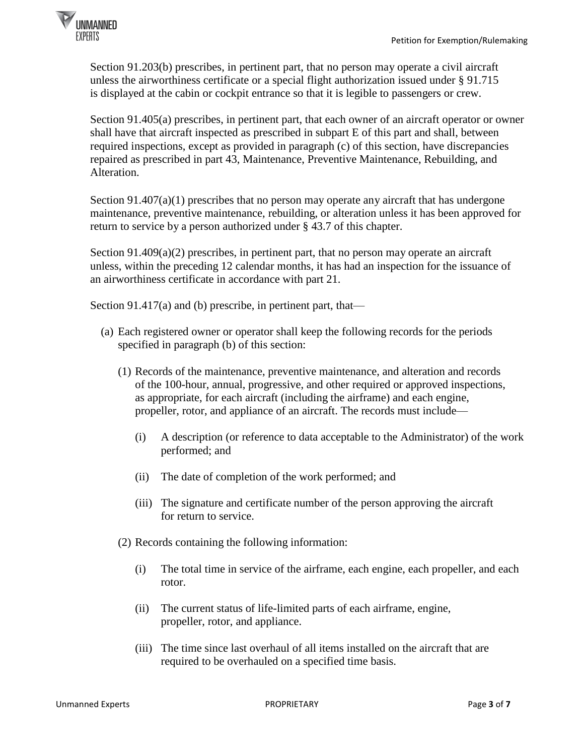

Section 91.203(b) prescribes, in pertinent part, that no person may operate a civil aircraft unless the airworthiness certificate or a special flight authorization issued under § 91.715 is displayed at the cabin or cockpit entrance so that it is legible to passengers or crew.

Section 91.405(a) prescribes, in pertinent part, that each owner of an aircraft operator or owner shall have that aircraft inspected as prescribed in subpart E of this part and shall, between required inspections, except as provided in paragraph (c) of this section, have discrepancies repaired as prescribed in part 43, Maintenance, Preventive Maintenance, Rebuilding, and Alteration.

Section  $91.407(a)(1)$  prescribes that no person may operate any aircraft that has undergone maintenance, preventive maintenance, rebuilding, or alteration unless it has been approved for return to service by a person authorized under § 43.7 of this chapter.

Section 91.409(a)(2) prescribes, in pertinent part, that no person may operate an aircraft unless, within the preceding 12 calendar months, it has had an inspection for the issuance of an airworthiness certificate in accordance with part 21.

Section 91.417(a) and (b) prescribe, in pertinent part, that—

- (a) Each registered owner or operator shall keep the following records for the periods specified in paragraph (b) of this section:
	- (1) Records of the maintenance, preventive maintenance, and alteration and records of the 100-hour, annual, progressive, and other required or approved inspections, as appropriate, for each aircraft (including the airframe) and each engine, propeller, rotor, and appliance of an aircraft. The records must include—
		- (i) A description (or reference to data acceptable to the Administrator) of the work performed; and
		- (ii) The date of completion of the work performed; and
		- (iii) The signature and certificate number of the person approving the aircraft for return to service.
	- (2) Records containing the following information:
		- (i) The total time in service of the airframe, each engine, each propeller, and each rotor.
		- (ii) The current status of life-limited parts of each airframe, engine, propeller, rotor, and appliance.
		- (iii) The time since last overhaul of all items installed on the aircraft that are required to be overhauled on a specified time basis.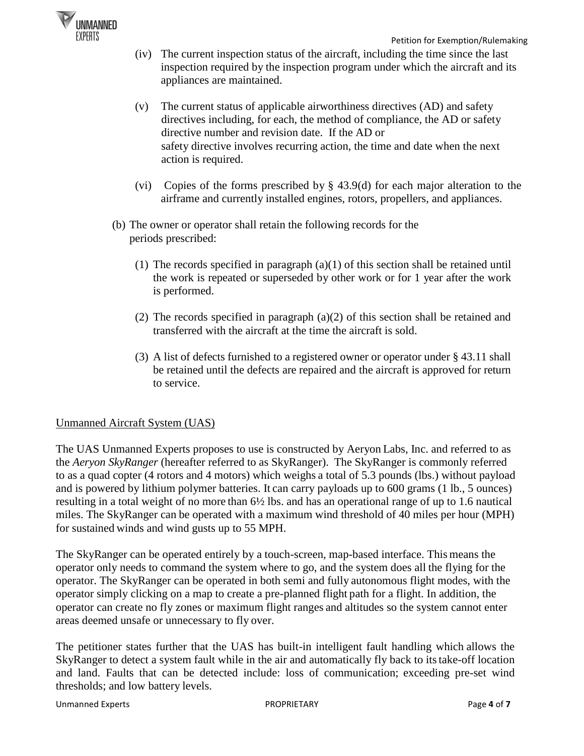

- (iv) The current inspection status of the aircraft, including the time since the last inspection required by the inspection program under which the aircraft and its appliances are maintained.
- (v) The current status of applicable airworthiness directives (AD) and safety directives including, for each, the method of compliance, the AD or safety directive number and revision date. If the AD or safety directive involves recurring action, the time and date when the next action is required.
- (vi) Copies of the forms prescribed by § 43.9(d) for each major alteration to the airframe and currently installed engines, rotors, propellers, and appliances.
- (b) The owner or operator shall retain the following records for the periods prescribed:
	- (1) The records specified in paragraph (a)(1) of this section shall be retained until the work is repeated or superseded by other work or for 1 year after the work is performed.
	- (2) The records specified in paragraph  $(a)(2)$  of this section shall be retained and transferred with the aircraft at the time the aircraft is sold.
	- (3) A list of defects furnished to a registered owner or operator under § 43.11 shall be retained until the defects are repaired and the aircraft is approved for return to service.

# Unmanned Aircraft System (UAS)

The UAS Unmanned Experts proposes to use is constructed by Aeryon Labs, Inc. and referred to as the *Aeryon SkyRanger* (hereafter referred to as SkyRanger). The SkyRanger is commonly referred to as a quad copter (4 rotors and 4 motors) which weighs a total of 5.3 pounds (lbs.) without payload and is powered by lithium polymer batteries. It can carry payloads up to 600 grams (1 lb., 5 ounces) resulting in a total weight of no more than 6½ lbs. and has an operational range of up to 1.6 nautical miles. The SkyRanger can be operated with a maximum wind threshold of 40 miles per hour (MPH) for sustained winds and wind gusts up to 55 MPH.

The SkyRanger can be operated entirely by a touch-screen, map-based interface. This means the operator only needs to command the system where to go, and the system does all the flying for the operator. The SkyRanger can be operated in both semi and fully autonomous flight modes, with the operator simply clicking on a map to create a pre-planned flight path for a flight. In addition, the operator can create no fly zones or maximum flight ranges and altitudes so the system cannot enter areas deemed unsafe or unnecessary to fly over.

The petitioner states further that the UAS has built-in intelligent fault handling which allows the SkyRanger to detect a system fault while in the air and automatically fly back to its take-off location and land. Faults that can be detected include: loss of communication; exceeding pre-set wind thresholds; and low battery levels.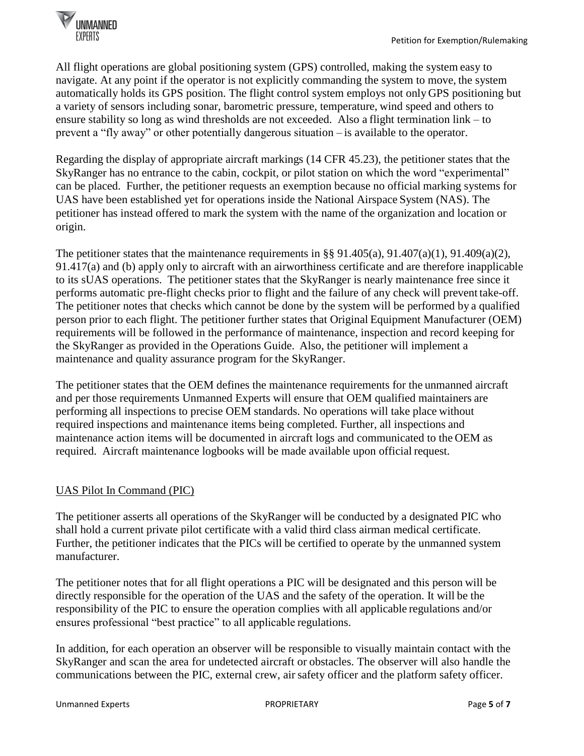

All flight operations are global positioning system (GPS) controlled, making the system easy to navigate. At any point if the operator is not explicitly commanding the system to move, the system automatically holds its GPS position. The flight control system employs not only GPS positioning but a variety of sensors including sonar, barometric pressure, temperature, wind speed and others to ensure stability so long as wind thresholds are not exceeded. Also a flight termination link – to prevent a "fly away" or other potentially dangerous situation – is available to the operator.

Regarding the display of appropriate aircraft markings (14 CFR 45.23), the petitioner states that the SkyRanger has no entrance to the cabin, cockpit, or pilot station on which the word "experimental" can be placed. Further, the petitioner requests an exemption because no official marking systems for UAS have been established yet for operations inside the National Airspace System (NAS). The petitioner has instead offered to mark the system with the name of the organization and location or origin.

The petitioner states that the maintenance requirements in §§ 91.405(a), 91.407(a)(1), 91.409(a)(2), 91.417(a) and (b) apply only to aircraft with an airworthiness certificate and are therefore inapplicable to its sUAS operations. The petitioner states that the SkyRanger is nearly maintenance free since it performs automatic pre-flight checks prior to flight and the failure of any check will prevent take-off. The petitioner notes that checks which cannot be done by the system will be performed by a qualified person prior to each flight. The petitioner further states that Original Equipment Manufacturer (OEM) requirements will be followed in the performance of maintenance, inspection and record keeping for the SkyRanger as provided in the Operations Guide. Also, the petitioner will implement a maintenance and quality assurance program for the SkyRanger.

The petitioner states that the OEM defines the maintenance requirements for the unmanned aircraft and per those requirements Unmanned Experts will ensure that OEM qualified maintainers are performing all inspections to precise OEM standards. No operations will take place without required inspections and maintenance items being completed. Further, all inspections and maintenance action items will be documented in aircraft logs and communicated to the OEM as required. Aircraft maintenance logbooks will be made available upon official request.

# UAS Pilot In Command (PIC)

The petitioner asserts all operations of the SkyRanger will be conducted by a designated PIC who shall hold a current private pilot certificate with a valid third class airman medical certificate. Further, the petitioner indicates that the PICs will be certified to operate by the unmanned system manufacturer.

The petitioner notes that for all flight operations a PIC will be designated and this person will be directly responsible for the operation of the UAS and the safety of the operation. It will be the responsibility of the PIC to ensure the operation complies with all applicable regulations and/or ensures professional "best practice" to all applicable regulations.

In addition, for each operation an observer will be responsible to visually maintain contact with the SkyRanger and scan the area for undetected aircraft or obstacles. The observer will also handle the communications between the PIC, external crew, air safety officer and the platform safety officer.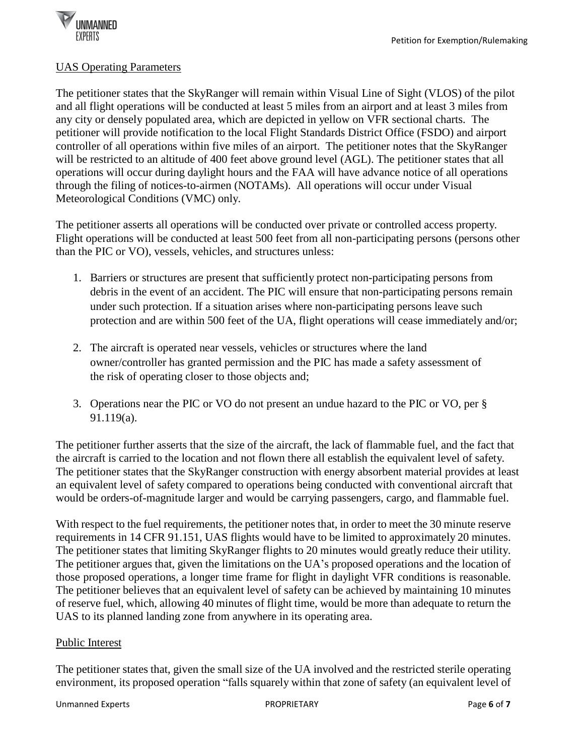

#### UAS Operating Parameters

The petitioner states that the SkyRanger will remain within Visual Line of Sight (VLOS) of the pilot and all flight operations will be conducted at least 5 miles from an airport and at least 3 miles from any city or densely populated area, which are depicted in yellow on VFR sectional charts. The petitioner will provide notification to the local Flight Standards District Office (FSDO) and airport controller of all operations within five miles of an airport. The petitioner notes that the SkyRanger will be restricted to an altitude of 400 feet above ground level (AGL). The petitioner states that all operations will occur during daylight hours and the FAA will have advance notice of all operations through the filing of notices-to-airmen (NOTAMs). All operations will occur under Visual Meteorological Conditions (VMC) only.

The petitioner asserts all operations will be conducted over private or controlled access property. Flight operations will be conducted at least 500 feet from all non-participating persons (persons other than the PIC or VO), vessels, vehicles, and structures unless:

- 1. Barriers or structures are present that sufficiently protect non-participating persons from debris in the event of an accident. The PIC will ensure that non-participating persons remain under such protection. If a situation arises where non-participating persons leave such protection and are within 500 feet of the UA, flight operations will cease immediately and/or;
- 2. The aircraft is operated near vessels, vehicles or structures where the land owner/controller has granted permission and the PIC has made a safety assessment of the risk of operating closer to those objects and;
- 3. Operations near the PIC or VO do not present an undue hazard to the PIC or VO, per § 91.119(a).

The petitioner further asserts that the size of the aircraft, the lack of flammable fuel, and the fact that the aircraft is carried to the location and not flown there all establish the equivalent level of safety. The petitioner states that the SkyRanger construction with energy absorbent material provides at least an equivalent level of safety compared to operations being conducted with conventional aircraft that would be orders-of-magnitude larger and would be carrying passengers, cargo, and flammable fuel.

With respect to the fuel requirements, the petitioner notes that, in order to meet the 30 minute reserve requirements in 14 CFR 91.151, UAS flights would have to be limited to approximately 20 minutes. The petitioner states that limiting SkyRanger flights to 20 minutes would greatly reduce their utility. The petitioner argues that, given the limitations on the UA's proposed operations and the location of those proposed operations, a longer time frame for flight in daylight VFR conditions is reasonable. The petitioner believes that an equivalent level of safety can be achieved by maintaining 10 minutes of reserve fuel, which, allowing 40 minutes of flight time, would be more than adequate to return the UAS to its planned landing zone from anywhere in its operating area.

# Public Interest

The petitioner states that, given the small size of the UA involved and the restricted sterile operating environment, its proposed operation "falls squarely within that zone of safety (an equivalent level of